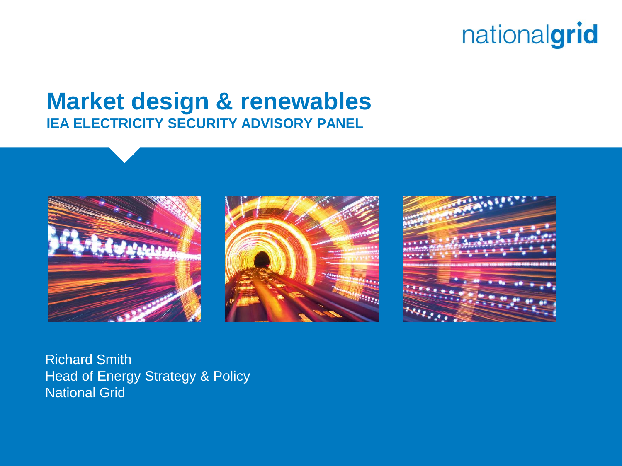#### **Market design & renewables IEA ELECTRICITY SECURITY ADVISORY PANEL**







Richard Smith Head of Energy Strategy & Policy National Grid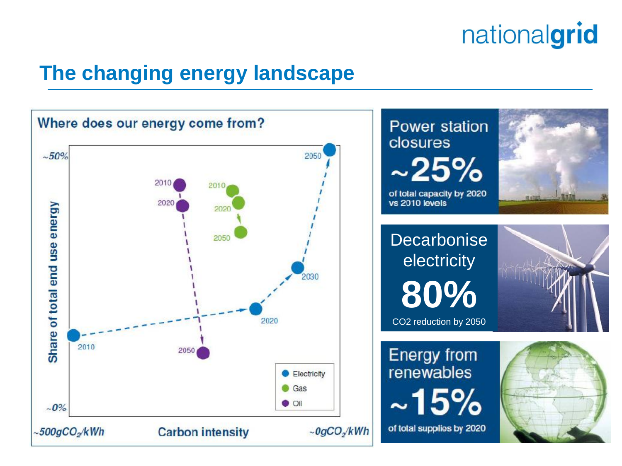### **The changing energy landscape**

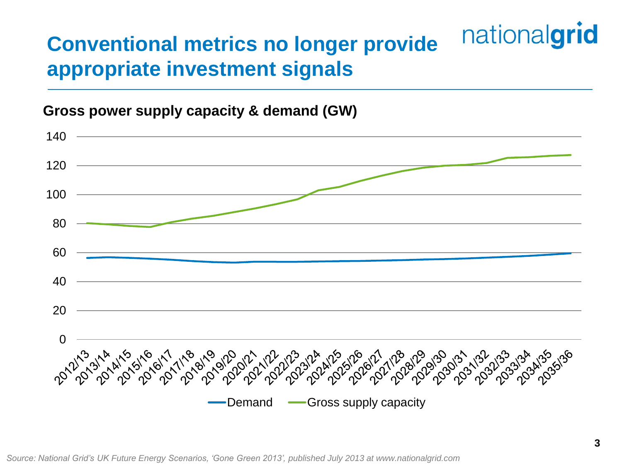#### nationalgrid **Conventional metrics no longer provide appropriate investment signals**

#### **Gross power supply capacity & demand (GW)**



*Source: National Grid's UK Future Energy Scenarios, 'Gone Green 2013', published July 2013 at www.nationalgrid.com*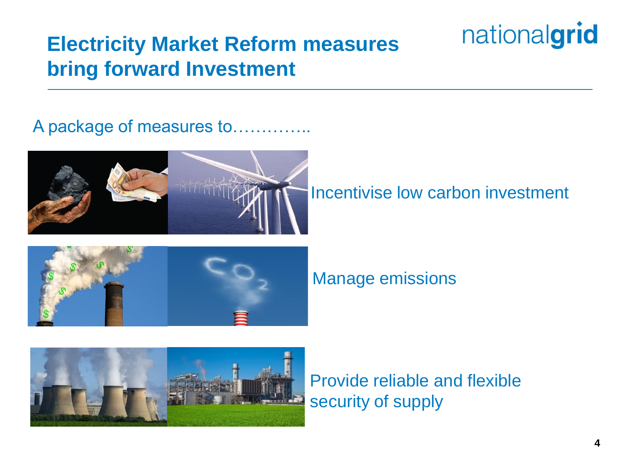### **Electricity Market Reform measures bring forward Investment**

A package of measures to…………..



Incentivise low carbon investment

nationalgrid



Manage emissions



Provide reliable and flexible security of supply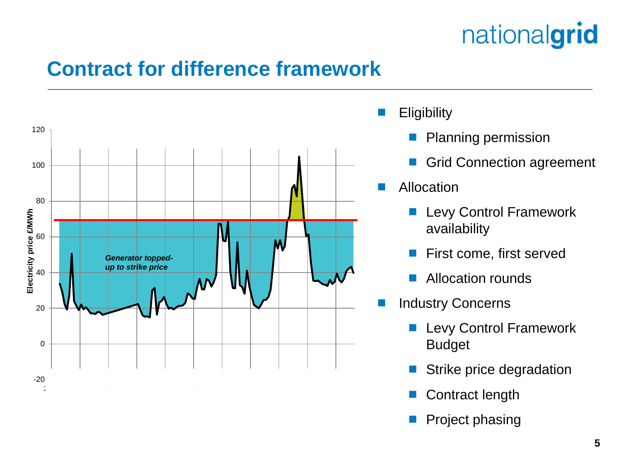### **Contract for difference framework**



- **Eligibility** 
	- Planning permission
	- Grid Connection agreement
- Allocation
	- Levy Control Framework availability
	- First come, first served
	- Allocation rounds
- Industry Concerns
	- **Levy Control Framework** Budget
	- Strike price degradation
	- Contract length
	- Project phasing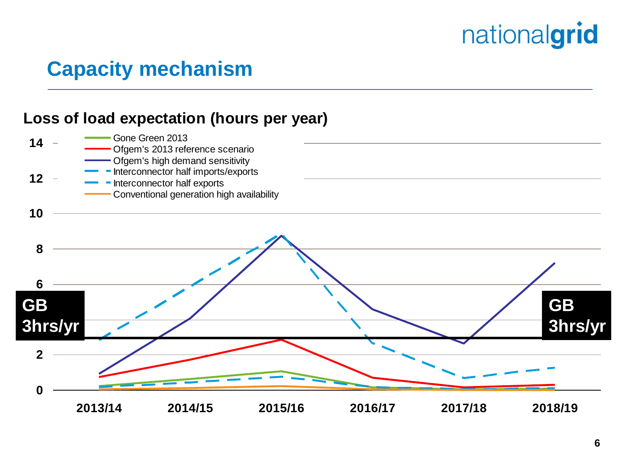### **Capacity mechanism**

#### **Loss of load expectation (hours per year)**